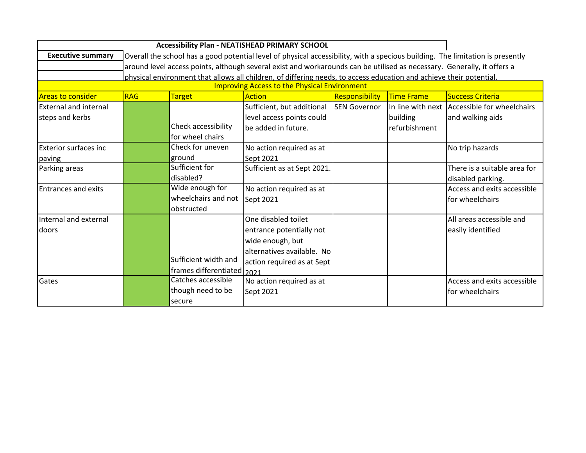| <b>Accessibility Plan - NEATISHEAD PRIMARY SCHOOL</b> |                                                                                                                     |                                                                                                                                |                             |                     |                   |                              |  |  |
|-------------------------------------------------------|---------------------------------------------------------------------------------------------------------------------|--------------------------------------------------------------------------------------------------------------------------------|-----------------------------|---------------------|-------------------|------------------------------|--|--|
| <b>Executive summary</b>                              |                                                                                                                     | Overall the school has a good potential level of physical accessibility, with a specious building. The limitation is presently |                             |                     |                   |                              |  |  |
|                                                       |                                                                                                                     | around level access points, although several exist and workarounds can be utilised as necessary. Generally, it offers a        |                             |                     |                   |                              |  |  |
|                                                       | physical environment that allows all children, of differing needs, to access education and achieve their potential. |                                                                                                                                |                             |                     |                   |                              |  |  |
| <b>Improving Access to the Physical Environment</b>   |                                                                                                                     |                                                                                                                                |                             |                     |                   |                              |  |  |
| <b>Areas to consider</b>                              | <b>RAG</b>                                                                                                          | <b>Target</b>                                                                                                                  | <b>Action</b>               | Responsibility      | <b>Time Frame</b> | <b>Success Criteria</b>      |  |  |
| <b>External and internal</b>                          |                                                                                                                     |                                                                                                                                | Sufficient, but additional  | <b>SEN Governor</b> | In line with next | Accessible for wheelchairs   |  |  |
| steps and kerbs                                       |                                                                                                                     |                                                                                                                                | level access points could   |                     | building          | and walking aids             |  |  |
|                                                       |                                                                                                                     | Check accessibility                                                                                                            | be added in future.         |                     | refurbishment     |                              |  |  |
|                                                       |                                                                                                                     | for wheel chairs                                                                                                               |                             |                     |                   |                              |  |  |
| <b>Exterior surfaces inc</b>                          |                                                                                                                     | Check for uneven                                                                                                               | No action required as at    |                     |                   | No trip hazards              |  |  |
| paving                                                |                                                                                                                     | ground                                                                                                                         | Sept 2021                   |                     |                   |                              |  |  |
| Parking areas                                         |                                                                                                                     | Sufficient for                                                                                                                 | Sufficient as at Sept 2021. |                     |                   | There is a suitable area for |  |  |
|                                                       |                                                                                                                     | disabled?                                                                                                                      |                             |                     |                   | disabled parking.            |  |  |
| <b>Entrances and exits</b>                            |                                                                                                                     | Wide enough for                                                                                                                | No action required as at    |                     |                   | Access and exits accessible  |  |  |
|                                                       |                                                                                                                     | wheelchairs and not                                                                                                            | Sept 2021                   |                     |                   | for wheelchairs              |  |  |
|                                                       |                                                                                                                     | obstructed                                                                                                                     |                             |                     |                   |                              |  |  |
| Internal and external                                 |                                                                                                                     |                                                                                                                                | One disabled toilet         |                     |                   | All areas accessible and     |  |  |
| doors                                                 |                                                                                                                     |                                                                                                                                | entrance potentially not    |                     |                   | easily identified            |  |  |
|                                                       |                                                                                                                     |                                                                                                                                | wide enough, but            |                     |                   |                              |  |  |
|                                                       |                                                                                                                     |                                                                                                                                | alternatives available. No  |                     |                   |                              |  |  |
|                                                       |                                                                                                                     | Sufficient width and                                                                                                           | action required as at Sept  |                     |                   |                              |  |  |
|                                                       |                                                                                                                     | frames differentiated 2021                                                                                                     |                             |                     |                   |                              |  |  |
| Gates                                                 |                                                                                                                     | Catches accessible                                                                                                             | No action required as at    |                     |                   | Access and exits accessible  |  |  |
|                                                       |                                                                                                                     | though need to be                                                                                                              | Sept 2021                   |                     |                   | for wheelchairs              |  |  |
|                                                       |                                                                                                                     | secure                                                                                                                         |                             |                     |                   |                              |  |  |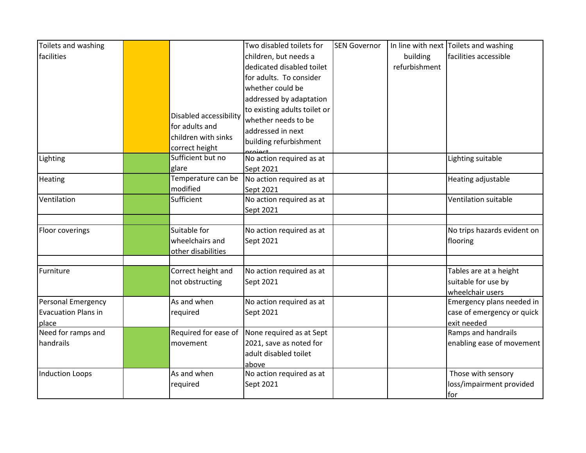| Toilets and washing                                       |                                                       | Two disabled toilets for                                                                                                                           | <b>SEN Governor</b> |                           | In line with next Toilets and washing                                  |
|-----------------------------------------------------------|-------------------------------------------------------|----------------------------------------------------------------------------------------------------------------------------------------------------|---------------------|---------------------------|------------------------------------------------------------------------|
| facilities                                                |                                                       | children, but needs a<br>dedicated disabled toilet                                                                                                 |                     | building<br>refurbishment | facilities accessible                                                  |
|                                                           | Disabled accessibility<br>for adults and              | for adults. To consider<br>whether could be<br>addressed by adaptation<br>to existing adults toilet or<br>whether needs to be<br>addressed in next |                     |                           |                                                                        |
|                                                           | children with sinks<br>correct height                 | building refurbishment<br>project                                                                                                                  |                     |                           |                                                                        |
| Lighting                                                  | Sufficient but no<br>glare                            | No action required as at<br>Sept 2021                                                                                                              |                     |                           | Lighting suitable                                                      |
| Heating                                                   | Temperature can be<br>modified                        | No action required as at<br>Sept 2021                                                                                                              |                     |                           | Heating adjustable                                                     |
| Ventilation                                               | Sufficient                                            | No action required as at<br>Sept 2021                                                                                                              |                     |                           | Ventilation suitable                                                   |
| Floor coverings                                           | Suitable for<br>wheelchairs and<br>other disabilities | No action required as at<br>Sept 2021                                                                                                              |                     |                           | No trips hazards evident on<br>flooring                                |
| Furniture                                                 | Correct height and<br>not obstructing                 | No action required as at<br>Sept 2021                                                                                                              |                     |                           | Tables are at a height<br>suitable for use by<br>wheelchair users      |
| Personal Emergency<br><b>Evacuation Plans in</b><br>place | As and when<br>required                               | No action required as at<br>Sept 2021                                                                                                              |                     |                           | Emergency plans needed in<br>case of emergency or quick<br>exit needed |
| Need for ramps and<br>handrails                           | Required for ease of<br>movement                      | None required as at Sept<br>2021, save as noted for<br>adult disabled toilet<br>above                                                              |                     |                           | Ramps and handrails<br>enabling ease of movement                       |
| <b>Induction Loops</b>                                    | As and when<br>required                               | No action required as at<br>Sept 2021                                                                                                              |                     |                           | Those with sensory<br>loss/impairment provided<br>for                  |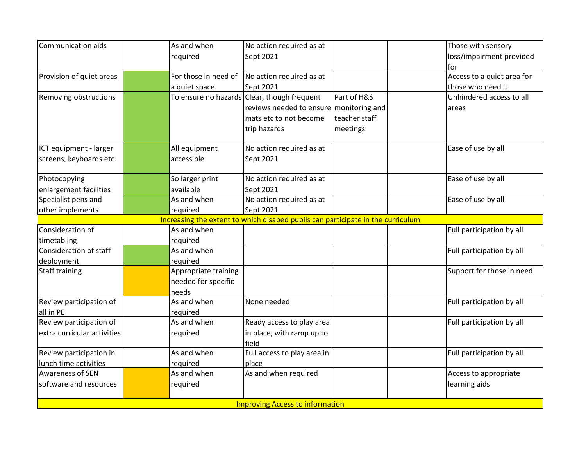| Communication aids                     |                                                                                 | As and when          | No action required as at                    |               |  | Those with sensory         |  |  |
|----------------------------------------|---------------------------------------------------------------------------------|----------------------|---------------------------------------------|---------------|--|----------------------------|--|--|
|                                        |                                                                                 | required             | Sept 2021                                   |               |  | loss/impairment provided   |  |  |
|                                        |                                                                                 |                      |                                             |               |  | for                        |  |  |
| Provision of quiet areas               |                                                                                 | For those in need of | No action required as at                    |               |  | Access to a quiet area for |  |  |
|                                        |                                                                                 | a quiet space        | Sept 2021                                   |               |  | those who need it          |  |  |
| Removing obstructions                  |                                                                                 |                      | To ensure no hazards Clear, though frequent | Part of H&S   |  | Unhindered access to all   |  |  |
|                                        |                                                                                 |                      | reviews needed to ensure monitoring and     |               |  | areas                      |  |  |
|                                        |                                                                                 |                      | mats etc to not become                      | teacher staff |  |                            |  |  |
|                                        |                                                                                 |                      | trip hazards                                | meetings      |  |                            |  |  |
| ICT equipment - larger                 |                                                                                 | All equipment        | No action required as at                    |               |  | Ease of use by all         |  |  |
| screens, keyboards etc.                |                                                                                 | accessible           | Sept 2021                                   |               |  |                            |  |  |
| Photocopying                           |                                                                                 | So larger print      | No action required as at                    |               |  | Ease of use by all         |  |  |
| enlargement facilities                 |                                                                                 | available            | Sept 2021                                   |               |  |                            |  |  |
| Specialist pens and                    |                                                                                 | As and when          | No action required as at                    |               |  | Ease of use by all         |  |  |
| other implements                       |                                                                                 | required             | Sept 2021                                   |               |  |                            |  |  |
|                                        | Increasing the extent to which disabed pupils can participate in the curriculum |                      |                                             |               |  |                            |  |  |
| Consideration of                       |                                                                                 | As and when          |                                             |               |  | Full participation by all  |  |  |
| timetabling                            |                                                                                 | required             |                                             |               |  |                            |  |  |
| Consideration of staff                 |                                                                                 | As and when          |                                             |               |  | Full participation by all  |  |  |
| deployment                             |                                                                                 | required             |                                             |               |  |                            |  |  |
| <b>Staff training</b>                  |                                                                                 | Appropriate training |                                             |               |  | Support for those in need  |  |  |
|                                        |                                                                                 | needed for specific  |                                             |               |  |                            |  |  |
|                                        |                                                                                 | needs                |                                             |               |  |                            |  |  |
| Review participation of                |                                                                                 | As and when          | None needed                                 |               |  | Full participation by all  |  |  |
| all in PE                              |                                                                                 | required             |                                             |               |  |                            |  |  |
| Review participation of                |                                                                                 | As and when          | Ready access to play area                   |               |  | Full participation by all  |  |  |
| extra curricular activities            |                                                                                 | required             | in place, with ramp up to                   |               |  |                            |  |  |
|                                        |                                                                                 |                      | field                                       |               |  |                            |  |  |
| Review participation in                |                                                                                 | As and when          | Full access to play area in                 |               |  | Full participation by all  |  |  |
| lunch time activities                  |                                                                                 | required             | place                                       |               |  |                            |  |  |
| <b>Awareness of SEN</b>                |                                                                                 | As and when          | As and when required                        |               |  | Access to appropriate      |  |  |
| software and resources                 |                                                                                 | required             |                                             |               |  | learning aids              |  |  |
| <b>Improving Access to information</b> |                                                                                 |                      |                                             |               |  |                            |  |  |